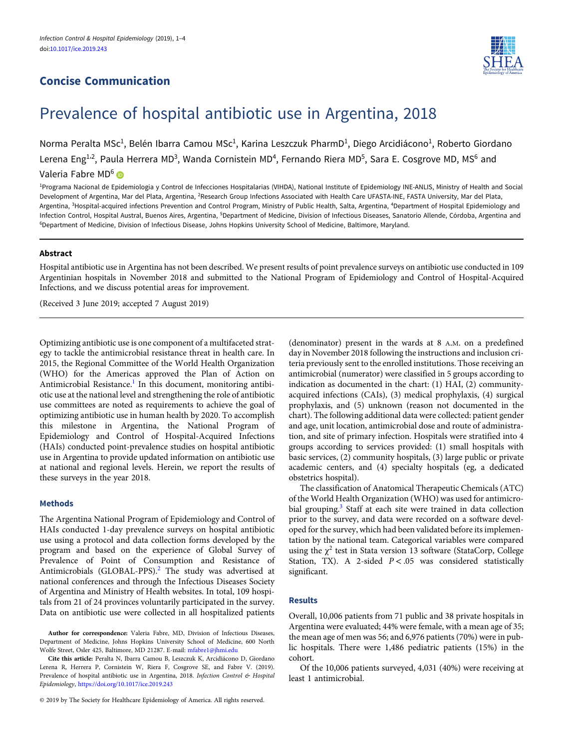## Concise Communication



# Prevalence of hospital antibiotic use in Argentina, 2018

Norma Peralta MSc<sup>1</sup>, Belén Ibarra Camou MSc<sup>1</sup>, Karina Leszczuk PharmD<sup>1</sup>, Diego Arcidiácono<sup>1</sup>, Roberto Giordano Lerena Eng<sup>1,2</sup>, Paula Herrera MD<sup>3</sup>, Wanda Cornistein MD<sup>4</sup>, Fernando Riera MD<sup>5</sup>, Sara E. Cosgrove MD, MS<sup>6</sup> and Valeria Fabre MD<sup>6</sup>

<sup>1</sup>Programa Nacional de Epidemiologia y Control de Infecciones Hospitalarias (VIHDA), National Institute of Epidemiology INE-ANLIS, Ministry of Health and Social Development of Argentina, Mar del Plata, Argentina, <sup>2</sup>Research Group Infections Associated with Health Care UFASTA-INE, FASTA University, Mar del Plata, Argentina, <sup>3</sup>Hospital-acquired infections Prevention and Control Program, Ministry of Public Health, Salta, Argentina, <sup>4</sup>Department of Hospital Epidemiology and Infection Control, Hospital Austral, Buenos Aires, Argentina, <sup>5</sup>Department of Medicine, Division of Infectious Diseases, Sanatorio Allende, Córdoba, Argentina and 6 Department of Medicine, Division of Infectious Disease, Johns Hopkins University School of Medicine, Baltimore, Maryland.

#### Abstract

Hospital antibiotic use in Argentina has not been described. We present results of point prevalence surveys on antibiotic use conducted in 109 Argentinian hospitals in November 2018 and submitted to the National Program of Epidemiology and Control of Hospital-Acquired Infections, and we discuss potential areas for improvement.

(Received 3 June 2019; accepted 7 August 2019)

Optimizing antibiotic use is one component of a multifaceted strategy to tackle the antimicrobial resistance threat in health care. In 2015, the Regional Committee of the World Health Organization (WHO) for the Americas approved the Plan of Action on Antimicrobial Resistance.<sup>1</sup> In this document, monitoring antibiotic use at the national level and strengthening the role of antibiotic use committees are noted as requirements to achieve the goal of optimizing antibiotic use in human health by 2020. To accomplish this milestone in Argentina, the National Program of Epidemiology and Control of Hospital-Acquired Infections (HAIs) conducted point-prevalence studies on hospital antibiotic use in Argentina to provide updated information on antibiotic use at national and regional levels. Herein, we report the results of these surveys in the year 2018.

#### Methods

The Argentina National Program of Epidemiology and Control of HAIs conducted 1-day prevalence surveys on hospital antibiotic use using a protocol and data collection forms developed by the program and based on the experience of Global Survey of Prevalence of Point of Consumption and Resistance of Antimicrobials (GLOBAL-PPS).<sup>[2](#page-3-0)</sup> The study was advertised at national conferences and through the Infectious Diseases Society of Argentina and Ministry of Health websites. In total, 109 hospitals from 21 of 24 provinces voluntarily participated in the survey. Data on antibiotic use were collected in all hospitalized patients

Author for correspondence: Valeria Fabre, MD, Division of Infectious Diseases, Department of Medicine, Johns Hopkins University School of Medicine, 600 North Wolfe Street, Osler 425, Baltimore, MD 21287. E-mail: [mfabre1@jhmi.edu](mailto:mfabre1@jhmi.edu)

Cite this article: Peralta N, Ibarra Camou B, Leszczuk K, Arcidiácono D, Giordano Lerena R, Herrera P, Cornistein W, Riera F, Cosgrove SE, and Fabre V. (2019). Prevalence of hospital antibiotic use in Argentina, 2018. Infection Control & Hospital Epidemiology, <https://doi.org/10.1017/ice.2019.243>

© 2019 by The Society for Healthcare Epidemiology of America. All rights reserved.

(denominator) present in the wards at 8 A.M. on a predefined day in November 2018 following the instructions and inclusion criteria previously sent to the enrolled institutions. Those receiving an antimicrobial (numerator) were classified in 5 groups according to indication as documented in the chart: (1) HAI, (2) communityacquired infections (CAIs), (3) medical prophylaxis, (4) surgical prophylaxis, and (5) unknown (reason not documented in the chart). The following additional data were collected: patient gender and age, unit location, antimicrobial dose and route of administration, and site of primary infection. Hospitals were stratified into 4 groups according to services provided: (1) small hospitals with basic services, (2) community hospitals, (3) large public or private academic centers, and (4) specialty hospitals (eg, a dedicated obstetrics hospital).

The classification of Anatomical Therapeutic Chemicals (ATC) of the World Health Organization (WHO) was used for antimicro-bial grouping.<sup>[3](#page-3-0)</sup> Staff at each site were trained in data collection prior to the survey, and data were recorded on a software developed for the survey, which had been validated before its implementation by the national team. Categorical variables were compared using the  $\chi^2$  test in Stata version 13 software (StataCorp, College Station, TX). A 2-sided  $P < .05$  was considered statistically significant.

### Results

Overall, 10,006 patients from 71 public and 38 private hospitals in Argentina were evaluated; 44% were female, with a mean age of 35; the mean age of men was 56; and 6,976 patients (70%) were in public hospitals. There were 1,486 pediatric patients (15%) in the cohort.

Of the 10,006 patients surveyed, 4,031 (40%) were receiving at least 1 antimicrobial.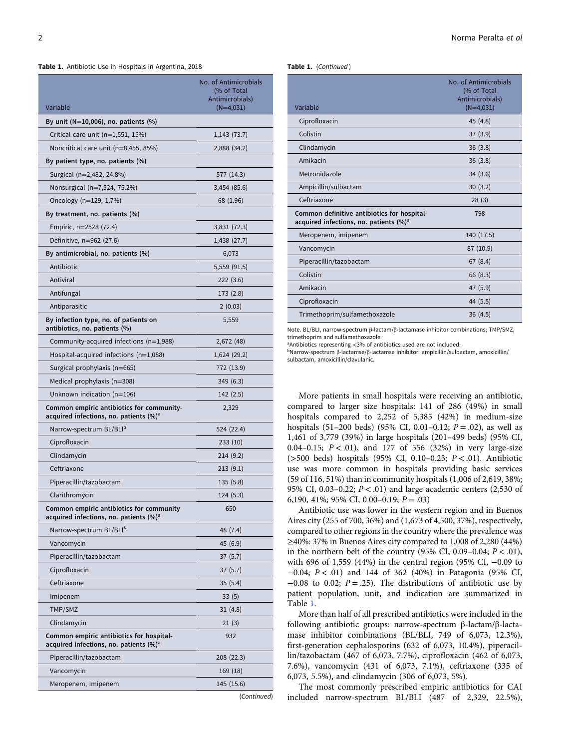Table 1. Antibiotic Use in Hospitals in Argentina, 2018

|                                                                                                | No. of Antimicrobials<br>(% of Total<br>Antimicrobials) |  |  |  |
|------------------------------------------------------------------------------------------------|---------------------------------------------------------|--|--|--|
| Variable                                                                                       | $(N=4,031)$                                             |  |  |  |
| By unit ( $N=10,006$ ), no. patients (%)                                                       |                                                         |  |  |  |
| Critical care unit $(n=1,551, 15%)$                                                            | 1,143 (73.7)                                            |  |  |  |
| Noncritical care unit (n=8,455, 85%)                                                           | 2,888 (34.2)                                            |  |  |  |
| By patient type, no. patients (%)                                                              |                                                         |  |  |  |
| Surgical (n=2,482, 24.8%)                                                                      | 577 (14.3)                                              |  |  |  |
| Nonsurgical (n=7,524, 75.2%)                                                                   | 3,454 (85.6)                                            |  |  |  |
| Oncology (n=129, 1.7%)                                                                         | 68 (1.96)                                               |  |  |  |
| By treatment, no. patients (%)                                                                 |                                                         |  |  |  |
| Empiric, n=2528 (72.4)                                                                         | 3,831 (72.3)                                            |  |  |  |
| Definitive, n=962 (27.6)                                                                       | 1,438 (27.7)                                            |  |  |  |
| By antimicrobial, no. patients (%)                                                             | 6,073                                                   |  |  |  |
| Antibiotic                                                                                     | 5,559 (91.5)                                            |  |  |  |
| Antiviral                                                                                      | 222(3.6)                                                |  |  |  |
| Antifungal                                                                                     | 173 (2.8)                                               |  |  |  |
| Antiparasitic                                                                                  | 2(0.03)                                                 |  |  |  |
| By infection type, no. of patients on<br>antibiotics, no. patients (%)                         | 5,559                                                   |  |  |  |
| Community-acquired infections (n=1,988)                                                        | 2,672 (48)                                              |  |  |  |
| Hospital-acquired infections (n=1,088)                                                         | 1,624 (29.2)                                            |  |  |  |
| Surgical prophylaxis (n=665)                                                                   | 772 (13.9)                                              |  |  |  |
| Medical prophylaxis (n=308)                                                                    | 349(6.3)                                                |  |  |  |
| Unknown indication $(n=106)$                                                                   | 142(2.5)                                                |  |  |  |
| Common empiric antibiotics for community-<br>acquired infections, no. patients $(\%)^a$        | 2,329                                                   |  |  |  |
| Narrow-spectrum BL/BLI <sup>b</sup>                                                            | 524 (22.4)                                              |  |  |  |
| Ciprofloxacin                                                                                  | 233(10)                                                 |  |  |  |
| Clindamycin                                                                                    | 214(9.2)                                                |  |  |  |
| Ceftriaxone                                                                                    | 213(9.1)                                                |  |  |  |
| Piperacillin/tazobactam                                                                        | 135(5.8)                                                |  |  |  |
| Clarithromycin                                                                                 | 124(5.3)                                                |  |  |  |
| Common empiric antibiotics for community<br>acquired infections, no. patients (%) <sup>a</sup> | 650                                                     |  |  |  |
| Narrow-spectrum BL/BLI <sup>§</sup>                                                            | 48 (7.4)                                                |  |  |  |
| Vancomycin                                                                                     | 45 (6.9)                                                |  |  |  |
| Piperacillin/tazobactam                                                                        | 37 (5.7)                                                |  |  |  |
| Ciprofloxacin                                                                                  | 37(5.7)                                                 |  |  |  |
| Ceftriaxone                                                                                    | 35 (5.4)                                                |  |  |  |
| Imipenem                                                                                       | 33(5)                                                   |  |  |  |
| TMP/SMZ                                                                                        | 31(4.8)                                                 |  |  |  |
| Clindamycin                                                                                    | 21(3)                                                   |  |  |  |
| Common empiric antibiotics for hospital-<br>acquired infections, no. patients (%) <sup>a</sup> | 932                                                     |  |  |  |
| Piperacillin/tazobactam                                                                        | 208 (22.3)                                              |  |  |  |
| Vancomycin                                                                                     | 169 (18)                                                |  |  |  |
| Meropenem, Imipenem                                                                            | 145 (15.6)                                              |  |  |  |

(Continued)

| Variable                                                                                  | No. of Antimicrobials<br>(% of Total<br>Antimicrobials)<br>$(N=4,031)$ |
|-------------------------------------------------------------------------------------------|------------------------------------------------------------------------|
| Ciprofloxacin                                                                             | 45 (4.8)                                                               |
| Colistin                                                                                  | 37(3.9)                                                                |
| Clindamycin                                                                               | 36(3.8)                                                                |
| Amikacin                                                                                  | 36(3.8)                                                                |
| Metronidazole                                                                             | 34(3.6)                                                                |
| Ampicillin/sulbactam                                                                      | 30(3.2)                                                                |
| Ceftriaxone                                                                               | 28(3)                                                                  |
| Common definitive antibiotics for hospital-<br>acquired infections, no. patients $(\%)^a$ | 798                                                                    |
| Meropenem, imipenem                                                                       | 140 (17.5)                                                             |
| Vancomycin                                                                                | 87 (10.9)                                                              |
| Piperacillin/tazobactam                                                                   | 67(8.4)                                                                |
| Colistin                                                                                  | 66(8.3)                                                                |
| Amikacin                                                                                  | 47 (5.9)                                                               |
| Ciprofloxacin                                                                             | 44 (5.5)                                                               |
| Trimethoprim/sulfamethoxazole                                                             | 36(4.5)                                                                |

Note. BL/BLI, narrow-spectrum β-lactam/β-lactamase inhibitor combinations; TMP/SMZ, trimethoprim and sulfamethoxazole.

<sup>a</sup>Antibiotics representing <3% of antibiotics used are not included.

bNarrow-spectrum β-lactamse/β-lactamse inhibitor: ampicillin/sulbactam, amoxicillin/ sulbactam, amoxicillin/clavulanic.

More patients in small hospitals were receiving an antibiotic, compared to larger size hospitals: 141 of 286 (49%) in small hospitals compared to 2,252 of 5,385 (42%) in medium-size hospitals (51–200 beds) (95% CI, 0.01–0.12;  $P = .02$ ), as well as 1,461 of 3,779 (39%) in large hospitals (201–499 beds) (95% CI, 0.04-0.15;  $P < 0.01$ ), and 177 of 556 (32%) in very large-size (>500 beds) hospitals (95% CI, 0.10–0.23; P < .01). Antibiotic use was more common in hospitals providing basic services (59 of 116, 51%) than in community hospitals (1,006 of 2,619, 38%; 95% CI, 0.03-0.22;  $P < .01$ ) and large academic centers (2,530 of 6,190, 41\%; 95\% CI, 0.00-0.19;  $P = .03$ )

Antibiotic use was lower in the western region and in Buenos Aires city (255 of 700, 36%) and (1,673 of 4,500, 37%), respectively, compared to other regions in the country where the prevalence was ≥40%: 37% in Buenos Aires city compared to 1,008 of 2,280 (44%) in the northern belt of the country  $(95\% \text{ CI}, 0.09-0.04; P < .01)$ , with 696 of 1,559 (44%) in the central region (95% CI, −0.09 to −0.04; P < .01) and 144 of 362 (40%) in Patagonia (95% CI,  $-0.08$  to 0.02;  $P = .25$ ). The distributions of antibiotic use by patient population, unit, and indication are summarized in Table 1.

More than half of all prescribed antibiotics were included in the following antibiotic groups: narrow-spectrum β-lactam/β-lactamase inhibitor combinations (BL/BLI, 749 of 6,073, 12.3%), first-generation cephalosporins (632 of 6,073, 10.4%), piperacillin/tazobactam (467 of 6,073, 7.7%), ciprofloxacin (462 of 6,073, 7.6%), vancomycin (431 of 6,073, 7.1%), ceftriaxone (335 of 6,073, 5.5%), and clindamycin (306 of 6,073, 5%).

The most commonly prescribed empiric antibiotics for CAI included narrow-spectrum BL/BLI (487 of 2,329, 22.5%),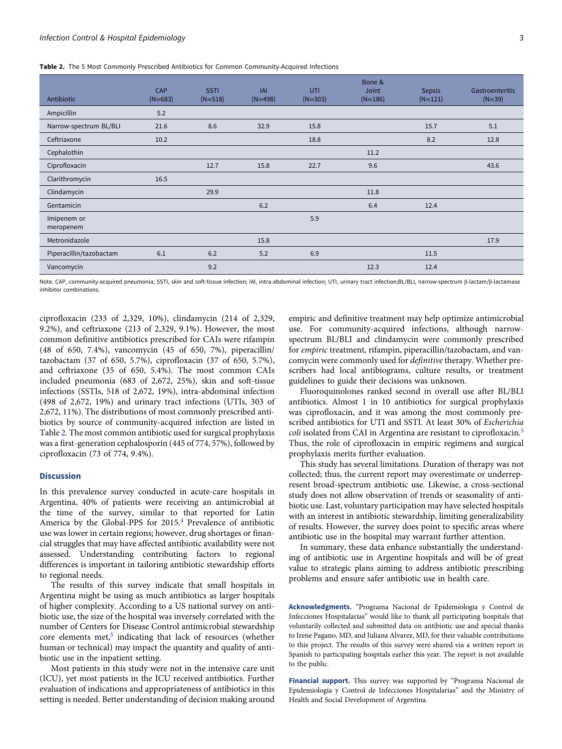Table 2. The 5 Most Commonly Prescribed Antibiotics for Common Community-Acquired Infections

|                          | <b>CAP</b> | <b>SSTI</b> | <b>IAI</b> | UTI       | Bone &<br>Joint | <b>Sepsis</b> | Gastroenteritis |
|--------------------------|------------|-------------|------------|-----------|-----------------|---------------|-----------------|
| Antibiotic               | $(N=683)$  | $(N=518)$   | $(N=498)$  | $(N=303)$ | $(N=186)$       | $(N=121)$     | $(N=39)$        |
| Ampicillin               | 5.2        |             |            |           |                 |               |                 |
| Narrow-spectrum BL/BLI   | 21.6       | 8.6         | 32.9       | 15.8      |                 | 15.7          | 5.1             |
| Ceftriaxone              | 10.2       |             |            | 18.8      |                 | 8.2           | 12.8            |
| Cephalothin              |            |             |            |           | 11.2            |               |                 |
| Ciprofloxacin            |            | 12.7        | 15.8       | 22.7      | 9.6             |               | 43.6            |
| Clarithromycin           | 16.5       |             |            |           |                 |               |                 |
| Clindamycin              |            | 29.9        |            |           | 11.8            |               |                 |
| Gentamicin               |            |             | 6.2        |           | 6.4             | 12.4          |                 |
| Imipenem or<br>meropenem |            |             |            | 5.9       |                 |               |                 |
| Metronidazole            |            |             | 15.8       |           |                 |               | 17.9            |
| Piperacillin/tazobactam  | 6.1        | 6.2         | 5.2        | 6.9       |                 | 11.5          |                 |
| Vancomycin               |            | 9.2         |            |           | 12.3            | 12.4          |                 |

Note. CAP, community-acquired pneumonia; SSTI, skin and soft-tissue infection; IAI, intra-abdominal infection; UTI, urinary tract infection;BL/BLI, narrow-spectrum β-lactam/β-lactamase inhibitor combinations.

ciprofloxacin (233 of 2,329, 10%), clindamycin (214 of 2,329, 9.2%), and ceftriaxone (213 of 2,329, 9.1%). However, the most common definitive antibiotics prescribed for CAIs were rifampin (48 of 650, 7.4%), vancomycin (45 of 650, 7%), piperacillin/ tazobactam (37 of 650, 5.7%), ciprofloxacin (37 of 650, 5.7%), and ceftriaxone (35 of 650, 5.4%). The most common CAIs included pneumonia (683 of 2,672, 25%), skin and soft-tissue infections (SSTIs, 518 of 2,672, 19%), intra-abdominal infection (498 of 2,672, 19%) and urinary tract infections (UTIs, 303 of 2,672, 11%). The distributions of most commonly prescribed antibiotics by source of community-acquired infection are listed in Table 2. The most common antibiotic used for surgical prophylaxis was a first-generation cephalosporin (445 of 774, 57%), followed by ciprofloxacin (73 of 774, 9.4%).

#### Discussion

In this prevalence survey conducted in acute-care hospitals in Argentina, 40% of patients were receiving an antimicrobial at the time of the survey, similar to that reported for Latin America by the Global-PPS for 2015.[4](#page-3-0) Prevalence of antibiotic use was lower in certain regions; however, drug shortages or financial struggles that may have affected antibiotic availability were not assessed. Understanding contributing factors to regional differences is important in tailoring antibiotic stewardship efforts to regional needs.

The results of this survey indicate that small hospitals in Argentina might be using as much antibiotics as larger hospitals of higher complexity. According to a US national survey on antibiotic use, the size of the hospital was inversely correlated with the number of Centers for Disease Control antimicrobial stewardship core elements met, $5$  indicating that lack of resources (whether human or technical) may impact the quantity and quality of antibiotic use in the inpatient setting.

Most patients in this study were not in the intensive care unit (ICU), yet most patients in the ICU received antibiotics. Further evaluation of indications and appropriateness of antibiotics in this setting is needed. Better understanding of decision making around

empiric and definitive treatment may help optimize antimicrobial use. For community-acquired infections, although narrowspectrum BL/BLI and clindamycin were commonly prescribed for empiric treatment, rifampin, piperacillin/tazobactam, and vancomycin were commonly used for *definitive* therapy. Whether prescribers had local antibiograms, culture results, or treatment guidelines to guide their decisions was unknown.

Fluoroquinolones ranked second in overall use after BL/BLI antibiotics. Almost 1 in 10 antibiotics for surgical prophylaxis was ciprofloxacin, and it was among the most commonly prescribed antibiotics for UTI and SSTI. At least 30% of Escherichia coli isolated from CAI in Argentina are resistant to ciprofloxacin.<sup>[5](#page-3-0)</sup> Thus, the role of ciprofloxacin in empiric regimens and surgical prophylaxis merits further evaluation.

This study has several limitations. Duration of therapy was not collected; thus, the current report may overestimate or underrepresent broad-spectrum antibiotic use. Likewise, a cross-sectional study does not allow observation of trends or seasonality of antibiotic use. Last, voluntary participation may have selected hospitals with an interest in antibiotic stewardship, limiting generalizability of results. However, the survey does point to specific areas where antibiotic use in the hospital may warrant further attention.

In summary, these data enhance substantially the understanding of antibiotic use in Argentine hospitals and will be of great value to strategic plans aiming to address antibiotic prescribing problems and ensure safer antibiotic use in health care.

Acknowledgments. "Programa Nacional de Epidemiologia y Control de Infecciones Hospitalarias" would like to thank all participating hospitals that voluntarily collected and submitted data on antibiotic use and special thanks to Irene Pagano, MD, and Juliana Alvarez, MD, for their valuable contributions to this project. The results of this survey were shared via a written report in Spanish to participating hospitals earlier this year. The report is not available to the public.

Financial support. This survey was supported by "Programa Nacional de Epidemiología y Control de Infecciones Hospitalarias" and the Ministry of Health and Social Development of Argentina.